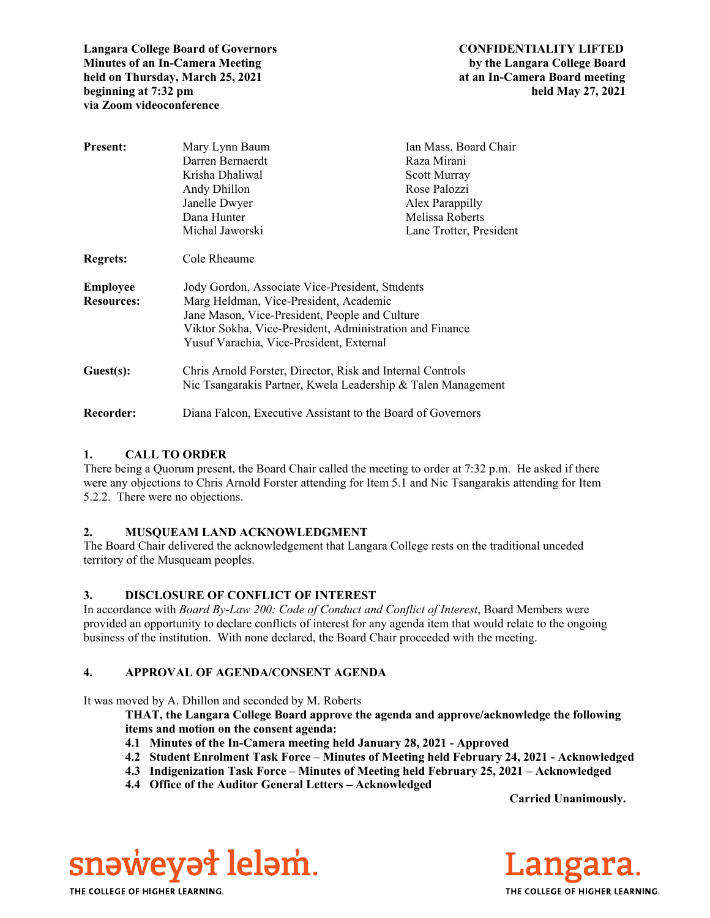**Langara College Board of Governors CONFIDENTIALITY LIFTED Minutes of an In-Camera Meeting by the Langara College Board held on Thursday, March 25, 2021 at an In-Camera Board meeting beginning at 7:32 pm** held May 27, 2021 **via Zoom videoconference** 

| <b>Present:</b>   | Mary Lynn Baum                                               | Ian Mass, Board Chair   |
|-------------------|--------------------------------------------------------------|-------------------------|
|                   | Darren Bernaerdt                                             | Raza Mirani             |
|                   | Krisha Dhaliwal                                              | Scott Murray            |
|                   | Andy Dhillon                                                 | Rose Palozzi            |
|                   | Janelle Dwyer                                                | Alex Parappilly         |
|                   | Dana Hunter                                                  | Melissa Roberts         |
|                   | Michal Jaworski                                              | Lane Trotter, President |
| <b>Regrets:</b>   | Cole Rheaume                                                 |                         |
| <b>Employee</b>   | Jody Gordon, Associate Vice-President, Students              |                         |
| <b>Resources:</b> | Marg Heldman, Vice-President, Academic                       |                         |
|                   | Jane Mason, Vice-President, People and Culture               |                         |
|                   | Viktor Sokha, Vice-President, Administration and Finance     |                         |
|                   | Yusuf Varachia, Vice-President, External                     |                         |
| Guest(s):         | Chris Arnold Forster, Director, Risk and Internal Controls   |                         |
|                   | Nic Tsangarakis Partner, Kwela Leadership & Talen Management |                         |
| Recorder:         | Diana Falcon, Executive Assistant to the Board of Governors  |                         |

### **1. CALL TO ORDER**

There being a Quorum present, the Board Chair called the meeting to order at 7:32 p.m. He asked if there were any objections to Chris Arnold Forster attending for Item 5.1 and Nic Tsangarakis attending for Item 5.2.2. There were no objections.

### **2. MUSQUEAM LAND ACKNOWLEDGMENT**

The Board Chair delivered the acknowledgement that Langara College rests on the traditional unceded territory of the Musqueam peoples.

# **3. DISCLOSURE OF CONFLICT OF INTEREST**

In accordance with *Board By-Law 200: Code of Conduct and Conflict of Interest*, Board Members were provided an opportunity to declare conflicts of interest for any agenda item that would relate to the ongoing business of the institution. With none declared, the Board Chair proceeded with the meeting.

# **4. APPROVAL OF AGENDA/CONSENT AGENDA**

It was moved by A. Dhillon and seconded by M. Roberts

**THAT, the Langara College Board approve the agenda and approve/acknowledge the following items and motion on the consent agenda:**

- **4.1 Minutes of the In-Camera meeting held January 28, 2021 Approved**
- **4.2 Student Enrolment Task Force Minutes of Meeting held February 24, 2021 Acknowledged**
- **4.3 Indigenization Task Force Minutes of Meeting held February 25, 2021 Acknowledged**
- **4.4 Office of the Auditor General Letters Acknowledged**

 **Carried Unanimously.** 





THE COLLEGE OF HIGHER LEARNING.